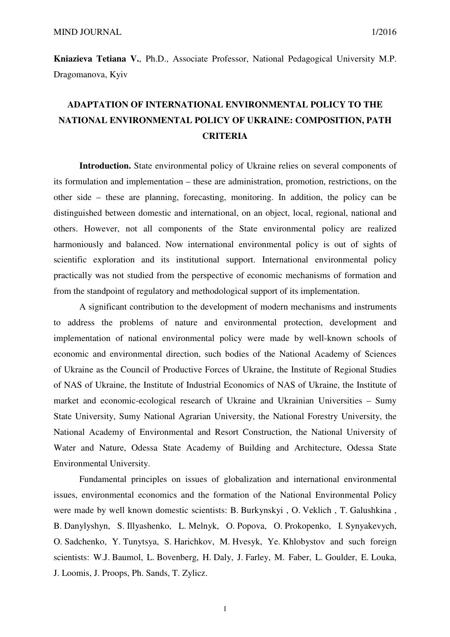**Kniazieva Tetiana V.**, Ph.D., Associate Professor, National Pedagogical University M.P. Dragomanova, Kyiv

## **ADAPTATION OF INTERNATIONAL ENVIRONMENTAL POLICY TO THE NATIONAL ENVIRONMENTAL POLICY OF UKRAINE: COMPOSITION, PATH CRITERIA**

**Introduction.** State environmental policy of Ukraine relies on several components of its formulation and implementation – these are administration, promotion, restrictions, on the other side – these are planning, forecasting, monitoring. In addition, the policy can be distinguished between domestic and international, on an object, local, regional, national and others. However, not all components of the State environmental policy are realized harmoniously and balanced. Now international environmental policy is out of sights of scientific exploration and its institutional support. International environmental policy practically was not studied from the perspective of economic mechanisms of formation and from the standpoint of regulatory and methodological support of its implementation.

A significant contribution to the development of modern mechanisms and instruments to address the problems of nature and environmental protection, development and implementation of national environmental policy were made by well-known schools of economic and environmental direction, such bodies of the National Academy of Sciences of Ukraine as the Council of Productive Forces of Ukraine, the Institute of Regional Studies of NAS of Ukraine, the Institute of Industrial Economics of NAS of Ukraine, the Institute of market and economic-ecological research of Ukraine and Ukrainian Universities – Sumy State University, Sumy National Agrarian University, the National Forestry University, the National Academy of Environmental and Resort Construction, the National University of Water and Nature, Odessa State Academy of Building and Architecture, Odessa State Environmental University.

Fundamental principles on issues of globalization and international environmental issues, environmental economics and the formation of the National Environmental Policy were made by well known domestic scientists: B. Burkynskyi , O. Veklich , T. Galushkina , B. Danylyshyn, S. Illyashenko, L. Melnyk, O. Popova, O. Prokopenko, I. Synyakevych, O. Sadchenko, Y. Tunytsya, S. Harichkov, M. Hvesyk, Ye. Khlobystov and such foreign scientists: W.J. Baumol, L. Bovenberg, H. Daly, J. Farley, M. Faber, L. Goulder, E. Louka, J. Loomis, J. Proops, Ph. Sands, T. Zylicz.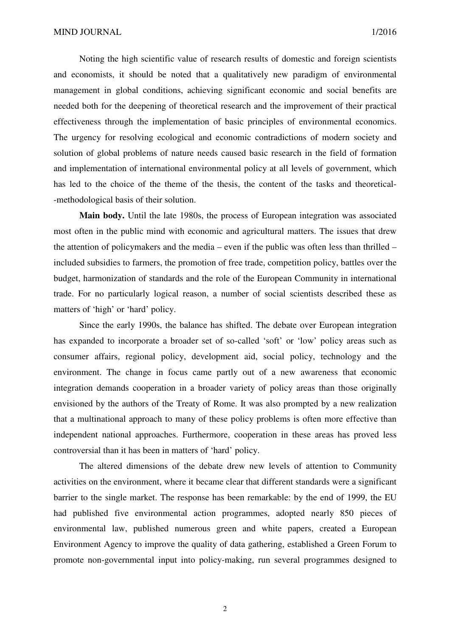Noting the high scientific value of research results of domestic and foreign scientists and economists, it should be noted that a qualitatively new paradigm of environmental management in global conditions, achieving significant economic and social benefits are needed both for the deepening of theoretical research and the improvement of their practical effectiveness through the implementation of basic principles of environmental economics. The urgency for resolving ecological and economic contradictions of modern society and solution of global problems of nature needs caused basic research in the field of formation and implementation of international environmental policy at all levels of government, which has led to the choice of the theme of the thesis, the content of the tasks and theoretical- -methodological basis of their solution.

**Main body.** Until the late 1980s, the process of European integration was associated most often in the public mind with economic and agricultural matters. The issues that drew the attention of policymakers and the media – even if the public was often less than thrilled – included subsidies to farmers, the promotion of free trade, competition policy, battles over the budget, harmonization of standards and the role of the European Community in international trade. For no particularly logical reason, a number of social scientists described these as matters of 'high' or 'hard' policy.

Since the early 1990s, the balance has shifted. The debate over European integration has expanded to incorporate a broader set of so-called 'soft' or 'low' policy areas such as consumer affairs, regional policy, development aid, social policy, technology and the environment. The change in focus came partly out of a new awareness that economic integration demands cooperation in a broader variety of policy areas than those originally envisioned by the authors of the Treaty of Rome. It was also prompted by a new realization that a multinational approach to many of these policy problems is often more effective than independent national approaches. Furthermore, cooperation in these areas has proved less controversial than it has been in matters of 'hard' policy.

The altered dimensions of the debate drew new levels of attention to Community activities on the environment, where it became clear that different standards were a significant barrier to the single market. The response has been remarkable: by the end of 1999, the EU had published five environmental action programmes, adopted nearly 850 pieces of environmental law, published numerous green and white papers, created a European Environment Agency to improve the quality of data gathering, established a Green Forum to promote non-governmental input into policy-making, run several programmes designed to

2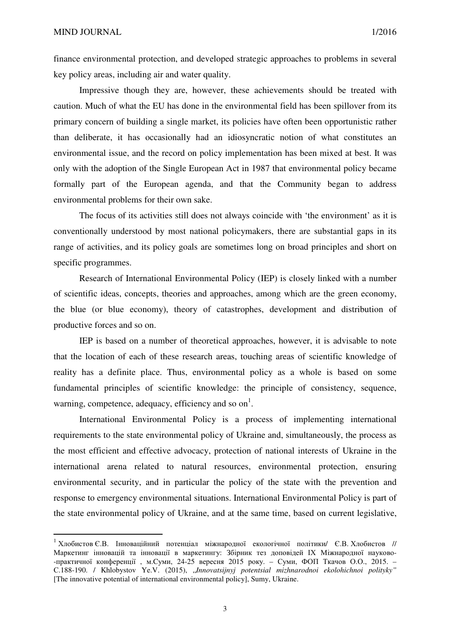$\overline{a}$ 

finance environmental protection, and developed strategic approaches to problems in several key policy areas, including air and water quality.

Impressive though they are, however, these achievements should be treated with caution. Much of what the EU has done in the environmental field has been spillover from its primary concern of building a single market, its policies have often been opportunistic rather than deliberate, it has occasionally had an idiosyncratic notion of what constitutes an environmental issue, and the record on policy implementation has been mixed at best. It was only with the adoption of the Single European Act in 1987 that environmental policy became formally part of the European agenda, and that the Community began to address environmental problems for their own sake.

The focus of its activities still does not always coincide with 'the environment' as it is conventionally understood by most national policymakers, there are substantial gaps in its range of activities, and its policy goals are sometimes long on broad principles and short on specific programmes.

Research of International Environmental Policy (IEP) is closely linked with a number of scientific ideas, concepts, theories and approaches, among which are the green economy, the blue (or blue economy), theory of catastrophes, development and distribution of productive forces and so on.

IEP is based on a number of theoretical approaches, however, it is advisable to note that the location of each of these research areas, touching areas of scientific knowledge of reality has a definite place. Thus, environmental policy as a whole is based on some fundamental principles of scientific knowledge: the principle of consistency, sequence, warning, competence, adequacy, efficiency and so on<sup>1</sup>.

International Environmental Policy is a process of implementing international requirements to the state environmental policy of Ukraine and, simultaneously, the process as the most efficient and effective advocacy, protection of national interests of Ukraine in the international arena related to natural resources, environmental protection, ensuring environmental security, and in particular the policy of the state with the prevention and response to emergency environmental situations. International Environmental Policy is part of the state environmental policy of Ukraine, and at the same time, based on current legislative,

<sup>&</sup>lt;sup>1</sup> Хлобистов Є.В. Інноваційний потенціал міжнародної екологічної політики/ Є.В. Хлобистов // Маркетинг інновацій та інновації в маркетингу: Збірник тез доповідей ІХ Міжнародної науково- -практичної конференції , м.Cуми, 24-25 вересня 2015 року. – Суми, ФОП Ткачов О.О., 2015. – С.188-190. / Khlobystov Ye.V. (2015), "*Innovatsijnyj potentsial mizhnarodnoi ekolohichnoi polityky"*  [The innovative potential of international environmental policy], Sumy, Ukraine.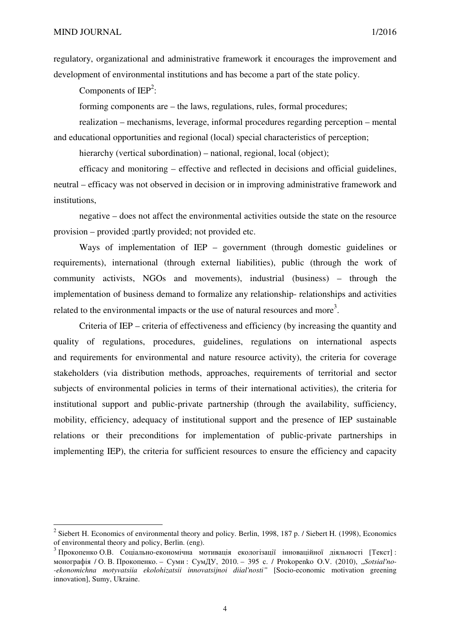$\overline{\phantom{0}}$ 

regulatory, organizational and administrative framework it encourages the improvement and development of environmental institutions and has become a part of the state policy.

Components of  $IEP^2$ :

forming components are – the laws, regulations, rules, formal procedures;

realization – mechanisms, leverage, informal procedures regarding perception – mental and educational opportunities and regional (local) special characteristics of perception;

hierarchy (vertical subordination) – national, regional, local (object);

efficacy and monitoring – effective and reflected in decisions and official guidelines, neutral – efficacy was not observed in decision or in improving administrative framework and institutions,

negative – does not affect the environmental activities outside the state on the resource provision – provided ;partly provided; not provided etc.

Ways of implementation of IEP – government (through domestic guidelines or requirements), international (through external liabilities), public (through the work of community activists, NGOs and movements), industrial (business) – through the implementation of business demand to formalize any relationship- relationships and activities related to the environmental impacts or the use of natural resources and more<sup>3</sup>.

Criteria of IEP – criteria of effectiveness and efficiency (by increasing the quantity and quality of regulations, procedures, guidelines, regulations on international aspects and requirements for environmental and nature resource activity), the criteria for coverage stakeholders (via distribution methods, approaches, requirements of territorial and sector subjects of environmental policies in terms of their international activities), the criteria for institutional support and public-private partnership (through the availability, sufficiency, mobility, efficiency, adequacy of institutional support and the presence of IEP sustainable relations or their preconditions for implementation of public-private partnerships in implementing IEP), the criteria for sufficient resources to ensure the efficiency and capacity

<sup>&</sup>lt;sup>2</sup> Siebert H. Economics of environmental theory and policy. Berlin, 1998, 187 p. / Siebert H. (1998), Economics of environmental theory and policy, Berlin. (eng).

 $3$  Прокопенко О.В. Соціально-економічна мотивація екологізації інноваційної ліяльності [Текст] : монографія / О. В. Прокопенко. – Суми : СумДУ, 2010. – 395 с. / Prokopenko O.V. (2010), "*Sotsial'no- -ekonomichna motyvatsiia ekolohizatsii innovatsijnoi diial'nosti"* [Socio-economic motivation greening innovation], Sumy, Ukraine.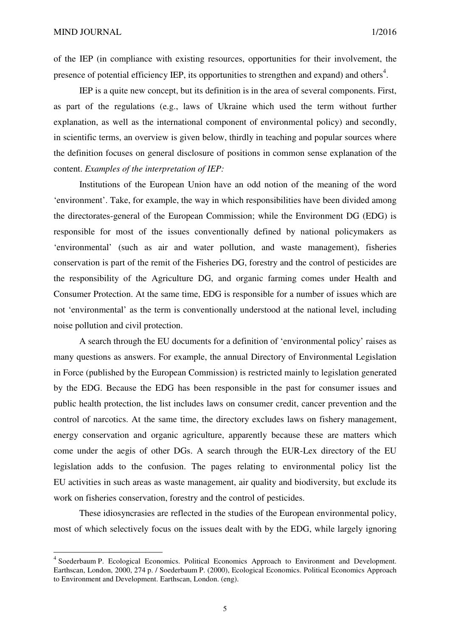l

of the IEP (in compliance with existing resources, opportunities for their involvement, the presence of potential efficiency IEP, its opportunities to strengthen and expand) and others<sup>4</sup>.

IEP is a quite new concept, but its definition is in the area of several components. First, as part of the regulations (e.g., laws of Ukraine which used the term without further explanation, as well as the international component of environmental policy) and secondly, in scientific terms, an overview is given below, thirdly in teaching and popular sources where the definition focuses on general disclosure of positions in common sense explanation of the content. *Examples of the interpretation of IEP:*

Institutions of the European Union have an odd notion of the meaning of the word 'environment'. Take, for example, the way in which responsibilities have been divided among the directorates-general of the European Commission; while the Environment DG (EDG) is responsible for most of the issues conventionally defined by national policymakers as 'environmental' (such as air and water pollution, and waste management), fisheries conservation is part of the remit of the Fisheries DG, forestry and the control of pesticides are the responsibility of the Agriculture DG, and organic farming comes under Health and Consumer Protection. At the same time, EDG is responsible for a number of issues which are not 'environmental' as the term is conventionally understood at the national level, including noise pollution and civil protection.

A search through the EU documents for a definition of 'environmental policy' raises as many questions as answers. For example, the annual Directory of Environmental Legislation in Force (published by the European Commission) is restricted mainly to legislation generated by the EDG. Because the EDG has been responsible in the past for consumer issues and public health protection, the list includes laws on consumer credit, cancer prevention and the control of narcotics. At the same time, the directory excludes laws on fishery management, energy conservation and organic agriculture, apparently because these are matters which come under the aegis of other DGs. A search through the EUR-Lex directory of the EU legislation adds to the confusion. The pages relating to environmental policy list the EU activities in such areas as waste management, air quality and biodiversity, but exclude its work on fisheries conservation, forestry and the control of pesticides.

These idiosyncrasies are reflected in the studies of the European environmental policy, most of which selectively focus on the issues dealt with by the EDG, while largely ignoring

<sup>&</sup>lt;sup>4</sup> Soederbaum P. Ecological Economics. Political Economics Approach to Environment and Development. Earthscan, London, 2000, 274 p. / Soederbaum P. (2000), Ecological Economics. Political Economics Approach to Environment and Development. Earthscan, London. (eng).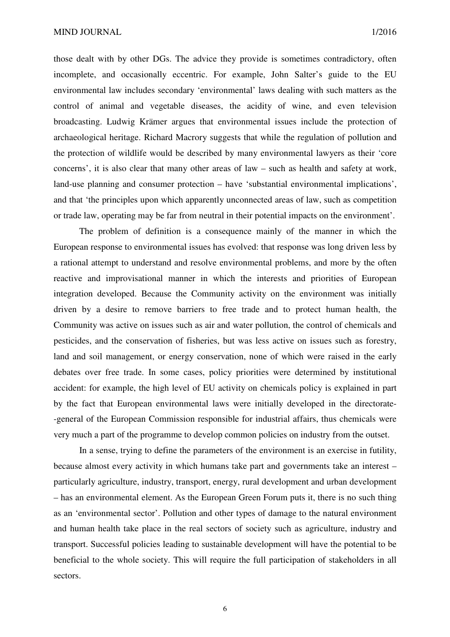those dealt with by other DGs. The advice they provide is sometimes contradictory, often incomplete, and occasionally eccentric. For example, John Salter's guide to the EU environmental law includes secondary 'environmental' laws dealing with such matters as the control of animal and vegetable diseases, the acidity of wine, and even television broadcasting. Ludwig Krämer argues that environmental issues include the protection of archaeological heritage. Richard Macrory suggests that while the regulation of pollution and the protection of wildlife would be described by many environmental lawyers as their 'core concerns', it is also clear that many other areas of law – such as health and safety at work, land-use planning and consumer protection – have 'substantial environmental implications', and that 'the principles upon which apparently unconnected areas of law, such as competition or trade law, operating may be far from neutral in their potential impacts on the environment'.

The problem of definition is a consequence mainly of the manner in which the European response to environmental issues has evolved: that response was long driven less by a rational attempt to understand and resolve environmental problems, and more by the often reactive and improvisational manner in which the interests and priorities of European integration developed. Because the Community activity on the environment was initially driven by a desire to remove barriers to free trade and to protect human health, the Community was active on issues such as air and water pollution, the control of chemicals and pesticides, and the conservation of fisheries, but was less active on issues such as forestry, land and soil management, or energy conservation, none of which were raised in the early debates over free trade. In some cases, policy priorities were determined by institutional accident: for example, the high level of EU activity on chemicals policy is explained in part by the fact that European environmental laws were initially developed in the directorate- -general of the European Commission responsible for industrial affairs, thus chemicals were very much a part of the programme to develop common policies on industry from the outset.

In a sense, trying to define the parameters of the environment is an exercise in futility, because almost every activity in which humans take part and governments take an interest – particularly agriculture, industry, transport, energy, rural development and urban development – has an environmental element. As the European Green Forum puts it, there is no such thing as an 'environmental sector'. Pollution and other types of damage to the natural environment and human health take place in the real sectors of society such as agriculture, industry and transport. Successful policies leading to sustainable development will have the potential to be beneficial to the whole society. This will require the full participation of stakeholders in all sectors.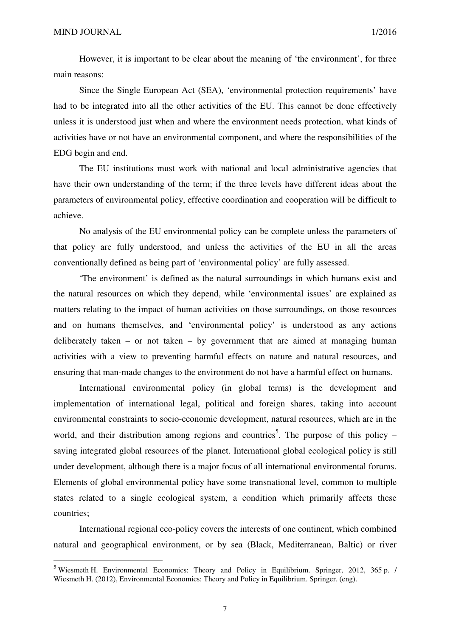l

However, it is important to be clear about the meaning of 'the environment', for three main reasons:

Since the Single European Act (SEA), 'environmental protection requirements' have had to be integrated into all the other activities of the EU. This cannot be done effectively unless it is understood just when and where the environment needs protection, what kinds of activities have or not have an environmental component, and where the responsibilities of the EDG begin and end.

The EU institutions must work with national and local administrative agencies that have their own understanding of the term; if the three levels have different ideas about the parameters of environmental policy, effective coordination and cooperation will be difficult to achieve.

No analysis of the EU environmental policy can be complete unless the parameters of that policy are fully understood, and unless the activities of the EU in all the areas conventionally defined as being part of 'environmental policy' are fully assessed.

'The environment' is defined as the natural surroundings in which humans exist and the natural resources on which they depend, while 'environmental issues' are explained as matters relating to the impact of human activities on those surroundings, on those resources and on humans themselves, and 'environmental policy' is understood as any actions deliberately taken – or not taken – by government that are aimed at managing human activities with a view to preventing harmful effects on nature and natural resources, and ensuring that man-made changes to the environment do not have a harmful effect on humans.

International environmental policy (in global terms) is the development and implementation of international legal, political and foreign shares, taking into account environmental constraints to socio-economic development, natural resources, which are in the world, and their distribution among regions and countries<sup>5</sup>. The purpose of this policy  $$ saving integrated global resources of the planet. International global ecological policy is still under development, although there is a major focus of all international environmental forums. Elements of global environmental policy have some transnational level, common to multiple states related to a single ecological system, a condition which primarily affects these countries;

International regional eco-policy covers the interests of one continent, which combined natural and geographical environment, or by sea (Black, Mediterranean, Baltic) or river

<sup>&</sup>lt;sup>5</sup> Wiesmeth H. Environmental Economics: Theory and Policy in Equilibrium. Springer, 2012, 365 p. / Wiesmeth H. (2012), Environmental Economics: Theory and Policy in Equilibrium. Springer. (eng).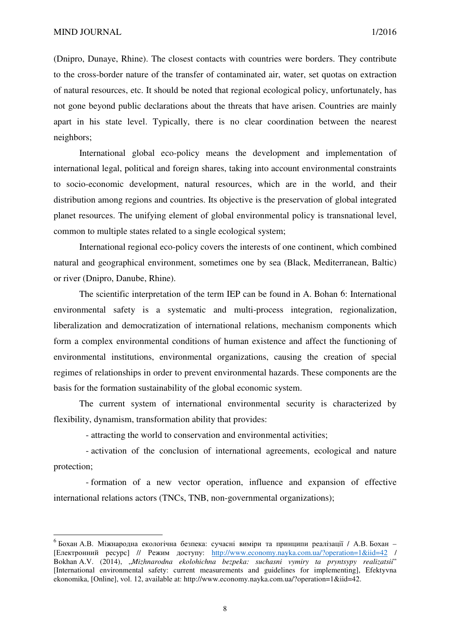$\overline{a}$ 

(Dnipro, Dunaye, Rhine). The closest contacts with countries were borders. They contribute to the cross-border nature of the transfer of contaminated air, water, set quotas on extraction of natural resources, etc. It should be noted that regional ecological policy, unfortunately, has not gone beyond public declarations about the threats that have arisen. Countries are mainly apart in his state level. Typically, there is no clear coordination between the nearest neighbors;

International global eco-policy means the development and implementation of international legal, political and foreign shares, taking into account environmental constraints to socio-economic development, natural resources, which are in the world, and their distribution among regions and countries. Its objective is the preservation of global integrated planet resources. The unifying element of global environmental policy is transnational level, common to multiple states related to a single ecological system;

International regional eco-policy covers the interests of one continent, which combined natural and geographical environment, sometimes one by sea (Black, Mediterranean, Baltic) or river (Dnipro, Danube, Rhine).

The scientific interpretation of the term IEP can be found in A. Bohan 6: International environmental safety is a systematic and multi-process integration, regionalization, liberalization and democratization of international relations, mechanism components which form a complex environmental conditions of human existence and affect the functioning of environmental institutions, environmental organizations, causing the creation of special regimes of relationships in order to prevent environmental hazards. These components are the basis for the formation sustainability of the global economic system.

The current system of international environmental security is characterized by flexibility, dynamism, transformation ability that provides:

- attracting the world to conservation and environmental activities;

- activation of the conclusion of international agreements, ecological and nature protection;

- formation of a new vector operation, influence and expansion of effective international relations actors (TNCs, TNB, non-governmental organizations);

<sup>&</sup>lt;sup>6</sup> Бохан А.В. Міжнародна екологічна безпека: сучасні виміри та принципи реалізації / А.В. Бохан – [Електронний ресурс] // Режим доступу: http://www.economy.nayka.com.ua/?operation=1&iid=42 / Bokhan A.V. (2014), "*Mizhnarodna ekolohichna bezpeka: suchasni vymiry ta pryntsypy realizatsii*" [International environmental safety: current measurements and guidelines for implementing], Efektyvna ekonomika, [Online], vol. 12, available at: http://www.economy.nayka.com.ua/?operation=1&iid=42.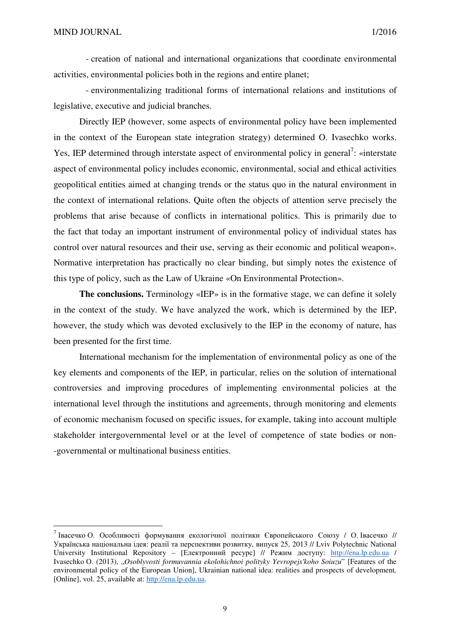$\overline{a}$ 

- creation of national and international organizations that coordinate environmental activities, environmental policies both in the regions and entire planet;

- environmentalizing traditional forms of international relations and institutions of legislative, executive and judicial branches.

Directly IEP (however, some aspects of environmental policy have been implemented in the context of the European state integration strategy) determined O. Ivasechko works. Yes, IEP determined through interstate aspect of environmental policy in general<sup>7</sup>: «interstate aspect of environmental policy includes economic, environmental, social and ethical activities geopolitical entities aimed at changing trends or the status quo in the natural environment in the context of international relations. Quite often the objects of attention serve precisely the problems that arise because of conflicts in international politics. This is primarily due to the fact that today an important instrument of environmental policy of individual states has control over natural resources and their use, serving as their economic and political weapon». Normative interpretation has practically no clear binding, but simply notes the existence of this type of policy, such as the Law of Ukraine «On Environmental Protection».

**The conclusions.** Terminology «IEP» is in the formative stage, we can define it solely in the context of the study. We have analyzed the work, which is determined by the IEP, however, the study which was devoted exclusively to the IEP in the economy of nature, has been presented for the first time.

International mechanism for the implementation of environmental policy as one of the key elements and components of the IEP, in particular, relies on the solution of international controversies and improving procedures of implementing environmental policies at the international level through the institutions and agreements, through monitoring and elements of economic mechanism focused on specific issues, for example, taking into account multiple stakeholder intergovernmental level or at the level of competence of state bodies or non- -governmental or multinational business entities.

<sup>&</sup>lt;sup>7</sup> Івасечко О. Особливості формування екологічної політики Європейського Союзу / О. Івасечко // Українська національна ідея: реалії та перспективи розвитку, випуск 25, 2013 // Lviv Polytechnic National University Institutional Repository - [Електронний ресурс] // Режим доступу: http://ena.lp.edu.ua / Ivasechko O. (2013), "*Osoblyvosti formuvannia ekolohichnoi polityky Yevropejs'koho Soiuzu*" [Features of the environmental policy of the European Union], Ukrainian national idea: realities and prospects of development*,*  [Online], vol. 25, available at: http://ena.lp.edu.ua.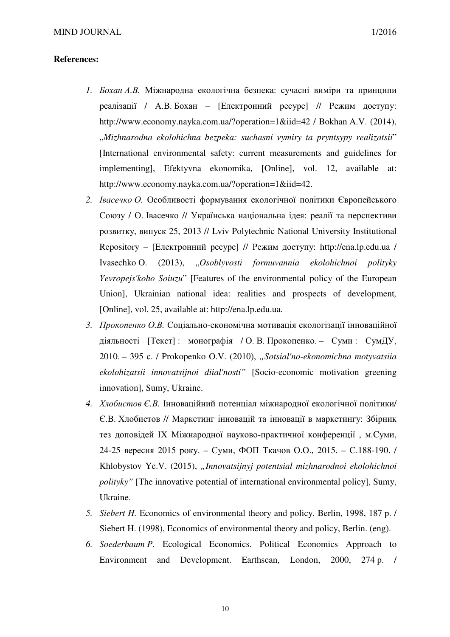## **References:**

- *1. Бохан А.В.* Міжнародна екологічна безпека: сучасні виміри та принципи реалізації / А.В. Бохан – [Електронний ресурс] // Режим доступу: http://www.economy.nayka.com.ua/?operation=1&iid=42 / Bokhan A.V. (2014), "*Mizhnarodna ekolohichna bezpeka: suchasni vymiry ta pryntsypy realizatsii*" [International environmental safety: current measurements and guidelines for implementing], Efektyvna ekonomika, [Online], vol. 12, available at: http://www.economy.nayka.com.ua/?operation=1&iid=42.
- *2. Івасечко О.* Особливості формування екологічної політики Європейського Союзу / О. Івасечко // Українська національна ідея: реалії та перспективи розвитку, випуск 25, 2013 // Lviv Polytechnic National University Institutional Repository – [Електронний ресурс] // Режим доступу: http://ena.lp.edu.ua / Ivasechko O. (2013), "*Osoblyvosti formuvannia ekolohichnoi polityky Yevropejs'koho Soiuzu*" [Features of the environmental policy of the European Union], Ukrainian national idea: realities and prospects of development, [Online], vol. 25, available at: http://ena.lp.edu.ua.
- *3. Прокопенко О.В.* Соціально-економічна мотивація екологізації інноваційної діяльності [Текст] : монографія / О. В. Прокопенко. – Суми : СумДУ, 2010. – 395 с. / Prokopenko O.V. (2010), *"Sotsial'no-ekonomichna motyvatsiia ekolohizatsii innovatsijnoi diial'nosti"* [Socio-economic motivation greening innovation], Sumy, Ukraine.
- *4. Хлобистов Є.В.* Інноваційний потенціал міжнародної екологічної політики/ Є.В. Хлобистов // Маркетинг інновацій та інновації в маркетингу: Збірник тез доповідей ІХ Міжнародної науково-практичної конференції , м.Cуми, 24-25 вересня 2015 року. – Суми, ФОП Ткачов О.О., 2015. – С.188-190. / Khlobystov Ye.V. (2015), *"Innovatsijnyj potentsial mizhnarodnoi ekolohichnoi polityky"* [The innovative potential of international environmental policy], Sumy, Ukraine.
- *5. Siebert H.* Economics of environmental theory and policy. Berlin, 1998, 187 p. / Siebert H. (1998), Economics of environmental theory and policy, Berlin. (eng).
- *6. Soederbaum P.* Ecological Economics. Political Economics Approach to Environment and Development. Earthscan, London, 2000, 274 p. /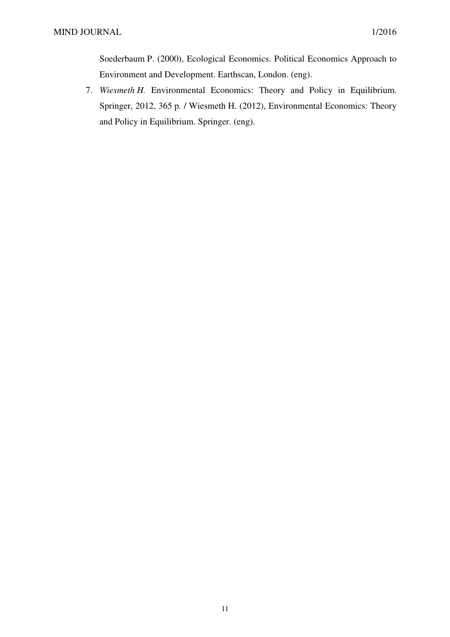Soederbaum P. (2000), Ecological Economics. Political Economics Approach to Environment and Development. Earthscan, London. (eng).

7. *Wiesmeth H.* Environmental Economics: Theory and Policy in Equilibrium. Springer, 2012, 365 p. / Wiesmeth H. (2012), Environmental Economics: Theory and Policy in Equilibrium. Springer. (eng).